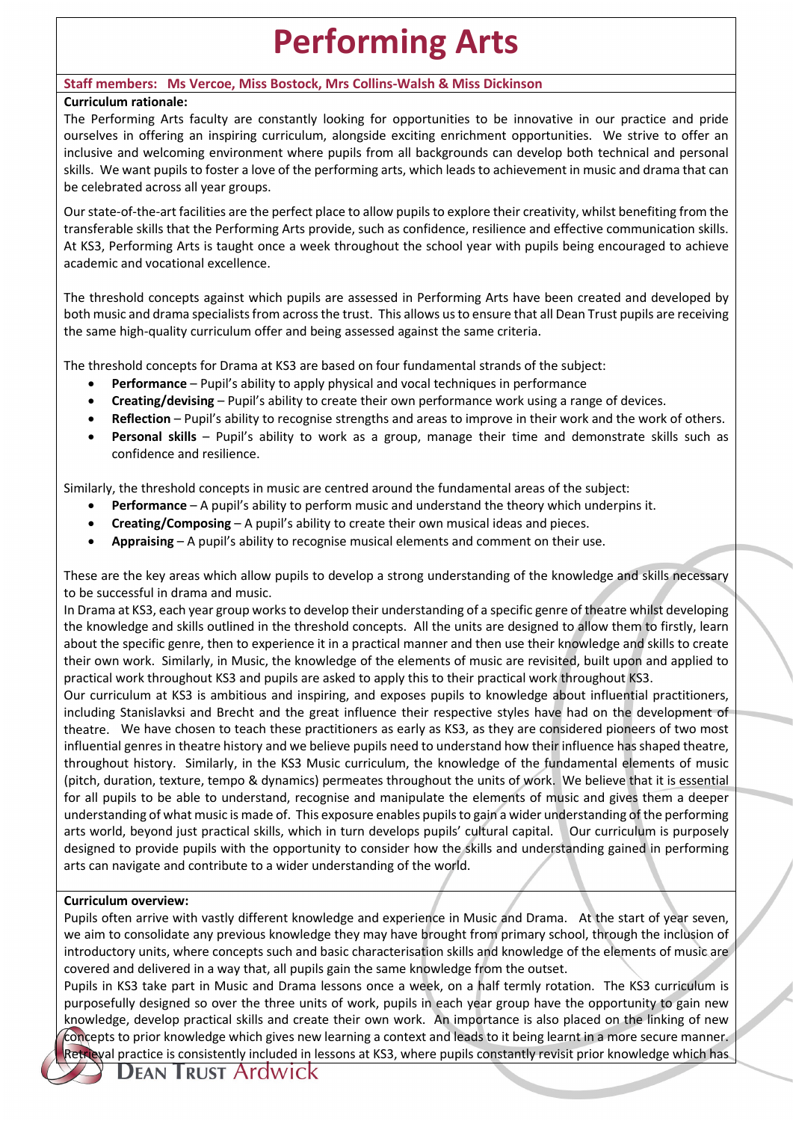# **Performing Arts**

## **Staff members: Ms Vercoe, Miss Bostock, Mrs Collins-Walsh & Miss Dickinson**

## **Curriculum rationale:**

The Performing Arts faculty are constantly looking for opportunities to be innovative in our practice and pride ourselves in offering an inspiring curriculum, alongside exciting enrichment opportunities. We strive to offer an inclusive and welcoming environment where pupils from all backgrounds can develop both technical and personal skills. We want pupils to foster a love of the performing arts, which leads to achievement in music and drama that can be celebrated across all year groups.

Our state-of-the-art facilities are the perfect place to allow pupils to explore their creativity, whilst benefiting from the transferable skills that the Performing Arts provide, such as confidence, resilience and effective communication skills. At KS3, Performing Arts is taught once a week throughout the school year with pupils being encouraged to achieve academic and vocational excellence.

The threshold concepts against which pupils are assessed in Performing Arts have been created and developed by both music and drama specialists from across the trust. This allows us to ensure that all Dean Trust pupils are receiving the same high-quality curriculum offer and being assessed against the same criteria.

The threshold concepts for Drama at KS3 are based on four fundamental strands of the subject:

- **Performance** Pupil's ability to apply physical and vocal techniques in performance
- **Creating/devising** Pupil's ability to create their own performance work using a range of devices.
- **Reflection** Pupil's ability to recognise strengths and areas to improve in their work and the work of others.
- **Personal skills** Pupil's ability to work as a group, manage their time and demonstrate skills such as confidence and resilience.

Similarly, the threshold concepts in music are centred around the fundamental areas of the subject:

- **Performance** A pupil's ability to perform music and understand the theory which underpins it.
- **Creating/Composing** A pupil's ability to create their own musical ideas and pieces.
- **Appraising** A pupil's ability to recognise musical elements and comment on their use.

These are the key areas which allow pupils to develop a strong understanding of the knowledge and skills necessary to be successful in drama and music.

In Drama at KS3, each year group works to develop their understanding of a specific genre of theatre whilst developing the knowledge and skills outlined in the threshold concepts. All the units are designed to allow them to firstly, learn about the specific genre, then to experience it in a practical manner and then use their knowledge and skills to create their own work. Similarly, in Music, the knowledge of the elements of music are revisited, built upon and applied to practical work throughout KS3 and pupils are asked to apply this to their practical work throughout KS3.

Our curriculum at KS3 is ambitious and inspiring, and exposes pupils to knowledge about influential practitioners, including Stanislavksi and Brecht and the great influence their respective styles have had on the development of theatre. We have chosen to teach these practitioners as early as KS3, as they are considered pioneers of two most influential genres in theatre history and we believe pupils need to understand how their influence has shaped theatre, throughout history. Similarly, in the KS3 Music curriculum, the knowledge of the fundamental elements of music (pitch, duration, texture, tempo & dynamics) permeates throughout the units of work. We believe that it is essential for all pupils to be able to understand, recognise and manipulate the elements of music and gives them a deeper understanding of what music is made of. This exposure enables pupils to gain a wider understanding of the performing arts world, beyond just practical skills, which in turn develops pupils' cultural capital. Our curriculum is purposely designed to provide pupils with the opportunity to consider how the skills and understanding gained in performing arts can navigate and contribute to a wider understanding of the world.

#### **Curriculum overview:**

Pupils often arrive with vastly different knowledge and experience in Music and Drama. At the start of year seven, we aim to consolidate any previous knowledge they may have brought from primary school, through the inclusion of introductory units, where concepts such and basic characterisation skills and knowledge of the elements of music are covered and delivered in a way that, all pupils gain the same knowledge from the outset.

Pupils in KS3 take part in Music and Drama lessons once a week, on a half termly rotation. The KS3 curriculum is purposefully designed so over the three units of work, pupils in each year group have the opportunity to gain new knowledge, develop practical skills and create their own work. An importance is also placed on the linking of new concepts to prior knowledge which gives new learning a context and leads to it being learnt in a more secure manner. Retrieval practice is consistently included in lessons at KS3, where pupils constantly revisit prior knowledge which has